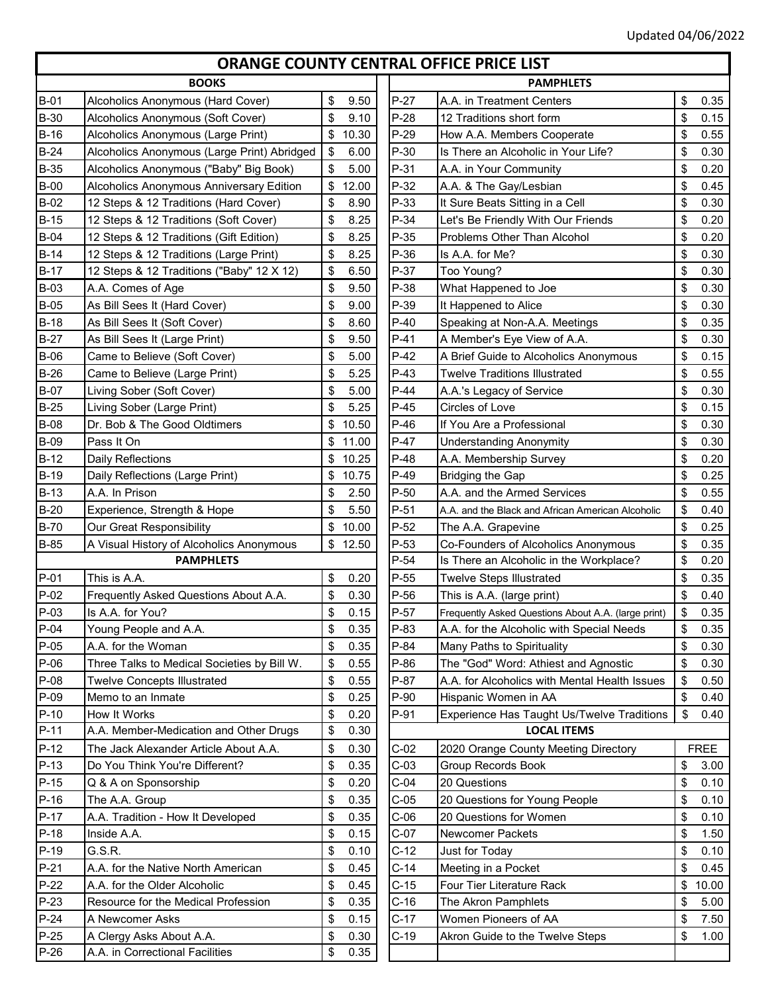г

## **ORANGE COUNTY CENTRAL OFFICE PRICE LIST**

| <b>BOOKS</b>     |                                                              |             |                  | <b>PAMPHLETS</b>                                    |          |              |  |
|------------------|--------------------------------------------------------------|-------------|------------------|-----------------------------------------------------|----------|--------------|--|
| $B-01$           | Alcoholics Anonymous (Hard Cover)                            | \$<br>9.50  | $P-27$           | A.A. in Treatment Centers                           | \$       | 0.35         |  |
| <b>B-30</b>      | Alcoholics Anonymous (Soft Cover)                            | \$<br>9.10  | $P-28$           | 12 Traditions short form                            | \$       | 0.15         |  |
| $B-16$           | Alcoholics Anonymous (Large Print)                           | \$10.30     | $P-29$           | How A.A. Members Cooperate                          | \$       | 0.55         |  |
| $B-24$           | Alcoholics Anonymous (Large Print) Abridged                  | \$<br>6.00  | $P-30$           | Is There an Alcoholic in Your Life?                 | \$       | 0.30         |  |
| <b>B-35</b>      | Alcoholics Anonymous ("Baby" Big Book)                       | \$<br>5.00  | $P-31$           | A.A. in Your Community                              | \$       | 0.20         |  |
| $B-00$           | Alcoholics Anonymous Anniversary Edition                     | \$<br>12.00 | $P-32$           | A.A. & The Gay/Lesbian                              | \$       | 0.45         |  |
| $B-02$           | 12 Steps & 12 Traditions (Hard Cover)                        | \$<br>8.90  | $P-33$           | It Sure Beats Sitting in a Cell                     | \$       | 0.30         |  |
| $B-15$           | 12 Steps & 12 Traditions (Soft Cover)                        | \$<br>8.25  | $P-34$           | Let's Be Friendly With Our Friends                  | \$       | 0.20         |  |
| <b>B-04</b>      | 12 Steps & 12 Traditions (Gift Edition)                      | \$<br>8.25  | $P-35$           | <b>Problems Other Than Alcohol</b>                  | \$       | 0.20         |  |
| $B-14$           | 12 Steps & 12 Traditions (Large Print)                       | \$<br>8.25  | $P-36$           | Is A.A. for Me?                                     | \$       | 0.30         |  |
| $B-17$           | 12 Steps & 12 Traditions ("Baby" 12 X 12)                    | \$<br>6.50  | P-37             | Too Young?                                          | \$       | 0.30         |  |
| $B-03$           | A.A. Comes of Age                                            | \$<br>9.50  | P-38             | What Happened to Joe                                | \$       | 0.30         |  |
| $B-05$           | As Bill Sees It (Hard Cover)                                 | \$<br>9.00  | P-39             | It Happened to Alice                                | \$       | 0.30         |  |
| $B-18$           | As Bill Sees It (Soft Cover)                                 | \$<br>8.60  | $P-40$           | Speaking at Non-A.A. Meetings                       | \$       | 0.35         |  |
| $B-27$           | As Bill Sees It (Large Print)                                | \$<br>9.50  | $P-41$           | A Member's Eye View of A.A.                         | \$       | 0.30         |  |
| $B-06$           | Came to Believe (Soft Cover)                                 | \$<br>5.00  | $P-42$           | A Brief Guide to Alcoholics Anonymous               | \$       | 0.15         |  |
| $B-26$           | Came to Believe (Large Print)                                | \$<br>5.25  | $P-43$           | <b>Twelve Traditions Illustrated</b>                | \$       | 0.55         |  |
| <b>B-07</b>      | Living Sober (Soft Cover)                                    | \$<br>5.00  | $P-44$           | A.A.'s Legacy of Service                            | \$       | 0.30         |  |
| $B-25$           | Living Sober (Large Print)                                   | \$<br>5.25  | $P-45$           | Circles of Love                                     | \$       | 0.15         |  |
| <b>B-08</b>      | Dr. Bob & The Good Oldtimers                                 | \$<br>10.50 | $P-46$           | If You Are a Professional                           | \$       | 0.30         |  |
| <b>B-09</b>      | Pass It On                                                   | \$<br>11.00 | $P-47$           | <b>Understanding Anonymity</b>                      | \$       | 0.30         |  |
| $B-12$           | Daily Reflections                                            | \$<br>10.25 | $P-48$           | A.A. Membership Survey                              | \$       | 0.20         |  |
| $B-19$           | Daily Reflections (Large Print)                              | \$<br>10.75 | $P-49$           | <b>Bridging the Gap</b>                             | \$       | 0.25         |  |
| $B-13$           | A.A. In Prison                                               | \$<br>2.50  | $P-50$           | A.A. and the Armed Services                         | \$       | 0.55         |  |
| $B-20$           |                                                              | \$<br>5.50  | $P-51$           |                                                     |          | 0.40         |  |
| <b>B-70</b>      | Experience, Strength & Hope                                  | \$<br>10.00 | $P-52$           | A.A. and the Black and African American Alcoholic   | \$       | 0.25         |  |
| <b>B-85</b>      | Our Great Responsibility                                     |             |                  | The A.A. Grapevine                                  | \$       |              |  |
|                  | A Visual History of Alcoholics Anonymous<br><b>PAMPHLETS</b> | \$<br>12.50 | $P-53$<br>$P-54$ | Co-Founders of Alcoholics Anonymous                 | \$<br>\$ | 0.35<br>0.20 |  |
|                  |                                                              |             | $P-55$           | Is There an Alcoholic in the Workplace?             |          |              |  |
| $P-01$<br>$P-02$ | This is A.A.                                                 | \$<br>0.20  |                  | <b>Twelve Steps Illustrated</b>                     | \$       | 0.35         |  |
|                  | Frequently Asked Questions About A.A.                        | \$<br>0.30  | $P-56$           | This is A.A. (large print)                          | \$       | 0.40         |  |
| $P-03$           | Is A.A. for You?                                             | \$<br>0.15  | $P-57$           | Frequently Asked Questions About A.A. (large print) | \$       | 0.35         |  |
| $P-04$           | Young People and A.A.                                        | \$<br>0.35  | P-83             | A.A. for the Alcoholic with Special Needs           | \$       | 0.35         |  |
| $P-05$           | A.A. for the Woman                                           | \$<br>0.35  | $P-84$           | Many Paths to Spirituality                          | \$       | 0.30         |  |
| $P-06$           | Three Talks to Medical Societies by Bill W.                  | \$<br>0.55  | $P-86$           | The "God" Word: Athiest and Agnostic                | \$       | 0.30         |  |
| $P-08$           | <b>Twelve Concepts Illustrated</b>                           | \$<br>0.55  | $P-87$           | A.A. for Alcoholics with Mental Health Issues       | \$       | 0.50         |  |
| $P-09$           | Memo to an Inmate                                            | \$<br>0.25  | $P-90$           | Hispanic Women in AA                                | \$       | 0.40         |  |
| $P-10$           | How It Works                                                 | \$<br>0.20  | P-91             | Experience Has Taught Us/Twelve Traditions          | \$       | 0.40         |  |
| $P-11$           | A.A. Member-Medication and Other Drugs                       | \$<br>0.30  |                  | <b>LOCAL ITEMS</b>                                  |          |              |  |
| $P-12$           | The Jack Alexander Article About A.A.                        | \$<br>0.30  | $C-02$           | 2020 Orange County Meeting Directory                |          | <b>FREE</b>  |  |
| $P-13$           | Do You Think You're Different?                               | \$<br>0.35  | $C-03$           | <b>Group Records Book</b>                           | \$       | 3.00         |  |
| $P-15$           | Q & A on Sponsorship                                         | \$<br>0.20  | $C-04$           | 20 Questions                                        | \$       | 0.10         |  |
| $P-16$           | The A.A. Group                                               | \$<br>0.35  | $C-05$           | 20 Questions for Young People                       | \$       | 0.10         |  |
| $P-17$           | A.A. Tradition - How It Developed                            | \$<br>0.35  | $C-06$           | 20 Questions for Women                              | \$       | 0.10         |  |
| $P-18$           | Inside A.A.                                                  | \$<br>0.15  | $C-07$           | <b>Newcomer Packets</b>                             | \$       | 1.50         |  |
| $P-19$           | G.S.R.                                                       | \$<br>0.10  | $C-12$           | Just for Today                                      | \$       | 0.10         |  |
| $P-21$           | A.A. for the Native North American                           | \$<br>0.45  | $C-14$           | Meeting in a Pocket                                 | \$       | 0.45         |  |
| $P-22$           | A.A. for the Older Alcoholic                                 | \$<br>0.45  | $C-15$           | Four Tier Literature Rack                           | \$       | 10.00        |  |
| $P-23$           | Resource for the Medical Profession                          | \$<br>0.35  | $C-16$           | The Akron Pamphlets                                 | \$       | 5.00         |  |
| $P-24$           | A Newcomer Asks                                              | \$<br>0.15  | $C-17$           | Women Pioneers of AA                                | \$       | 7.50         |  |
| $P-25$           | A Clergy Asks About A.A.                                     | \$<br>0.30  | $C-19$           | Akron Guide to the Twelve Steps                     | \$       | 1.00         |  |
| $P-26$           | A.A. in Correctional Facilities                              | \$<br>0.35  |                  |                                                     |          |              |  |

|                            |             |        | <u>UIMINUL CUUINTI CLINTIME UITICL I INCL LIJI</u>  |             |
|----------------------------|-------------|--------|-----------------------------------------------------|-------------|
| <b>BOOKS</b>               |             |        | <b>PAMPHLETS</b>                                    |             |
| us (Hard Cover)            | \$<br>9.50  | $P-27$ | A.A. in Treatment Centers                           | \$<br>0.35  |
| us (Soft Cover)            | \$<br>9.10  | $P-28$ | 12 Traditions short form                            | \$<br>0.15  |
| us (Large Print)           | \$<br>10.30 | $P-29$ | How A.A. Members Cooperate                          | \$<br>0.55  |
| us (Large Print) Abridged  | \$<br>6.00  | $P-30$ | Is There an Alcoholic in Your Life?                 | \$<br>0.30  |
| us ("Baby" Big Book)       | \$<br>5.00  | $P-31$ | A.A. in Your Community                              | \$<br>0.20  |
| us Anniversary Edition     | \$<br>12.00 | $P-32$ | A.A. & The Gay/Lesbian                              | \$<br>0.45  |
| tions (Hard Cover)         | \$<br>8.90  | $P-33$ | It Sure Beats Sitting in a Cell                     | \$<br>0.30  |
| tions (Soft Cover)         | \$<br>8.25  | $P-34$ | Let's Be Friendly With Our Friends                  | \$<br>0.20  |
| tions (Gift Edition)       | \$<br>8.25  | $P-35$ | Problems Other Than Alcohol                         | \$<br>0.20  |
| tions (Large Print)        | \$<br>8.25  | $P-36$ | Is A.A. for Me?                                     | \$<br>0.30  |
| tions ("Baby" 12 X 12)     | \$<br>6.50  | $P-37$ | Too Young?                                          | \$<br>0.30  |
|                            | 9.50<br>\$  | P-38   | What Happened to Joe                                | \$<br>0.30  |
| Cover)                     | \$<br>9.00  | P-39   | It Happened to Alice                                | \$<br>0.30  |
| Cover)                     | \$<br>8.60  | $P-40$ | Speaking at Non-A.A. Meetings                       | \$<br>0.35  |
| e Print)                   | \$<br>9.50  | $P-41$ | A Member's Eye View of A.A.                         | \$<br>0.30  |
| ›ft Cover)                 | \$<br>5.00  | $P-42$ | A Brief Guide to Alcoholics Anonymous               | \$<br>0.15  |
| rge Print)                 | 5.25<br>\$  | $P-43$ | <b>Twelve Traditions Illustrated</b>                | \$<br>0.55  |
| over)                      | \$<br>5.00  | $P-44$ | A.A.'s Legacy of Service                            | \$<br>0.30  |
| Print)                     | \$<br>5.25  | $P-45$ | Circles of Love                                     | \$<br>0.15  |
| Oldtimers                  | 10.50<br>\$ | $P-46$ | If You Are a Professional                           | \$<br>0.30  |
|                            | \$<br>11.00 | $P-47$ | <b>Understanding Anonymity</b>                      | \$<br>0.30  |
|                            | \$<br>10.25 | $P-48$ | A.A. Membership Survey                              | \$<br>0.20  |
| irge Print)                | \$<br>10.75 | $P-49$ | <b>Bridging the Gap</b>                             | \$<br>0.25  |
|                            | \$<br>2.50  | $P-50$ | A.A. and the Armed Services                         | \$<br>0.55  |
| า & Hope                   | \$<br>5.50  | $P-51$ | A.A. and the Black and African American Alcoholic   | \$<br>0.40  |
| bility                     | \$<br>10.00 | $P-52$ | The A.A. Grapevine                                  | \$<br>0.25  |
| <b>Icoholics Anonymous</b> | 12.50<br>\$ | P-53   | Co-Founders of Alcoholics Anonymous                 | \$<br>0.35  |
| <b>MPHLETS</b>             |             | $P-54$ | Is There an Alcoholic in the Workplace?             | \$<br>0.20  |
|                            | \$<br>0.20  | $P-55$ | <b>Twelve Steps Illustrated</b>                     | \$<br>0.35  |
| uestions About A.A.        | \$<br>0.30  | $P-56$ | This is A.A. (large print)                          | \$<br>0.40  |
|                            | \$<br>0.15  | $P-57$ | Frequently Asked Questions About A.A. (large print) | \$<br>0.35  |
| ١.Α.                       | \$<br>0.35  | P-83   | A.A. for the Alcoholic with Special Needs           | \$<br>0.35  |
|                            | \$<br>0.35  | $P-84$ | Many Paths to Spirituality                          | \$<br>0.30  |
| cal Societies by Bill W.   | \$<br>0.55  | $P-86$ | The "God" Word: Athiest and Agnostic                | \$<br>0.30  |
| ıstrated                   | \$<br>0.55  | P-87   | A.A. for Alcoholics with Mental Health Issues       | \$<br>0.50  |
|                            | \$<br>0.25  | $P-90$ | Hispanic Women in AA                                | \$<br>0.40  |
|                            | \$<br>0.20  | P-91   | Experience Has Taught Us/Twelve Traditions          | \$<br>0.40  |
| ation and Other Drugs      | \$<br>0.30  |        | <b>LOCAL ITEMS</b>                                  |             |
| Article About A.A.         | 0.30<br>\$  | $C-02$ | 2020 Orange County Meeting Directory                | <b>FREE</b> |
| Different?                 | \$<br>0.35  | $C-03$ | Group Records Book                                  | \$<br>3.00  |
| ıip                        | \$<br>0.20  | $C-04$ | 20 Questions                                        | \$<br>0.10  |
|                            | \$<br>0.35  | $C-05$ | 20 Questions for Young People                       | \$<br>0.10  |
| It Developed               | \$<br>0.35  | $C-06$ | 20 Questions for Women                              | \$<br>0.10  |
|                            | \$<br>0.15  | $C-07$ | Newcomer Packets                                    | \$<br>1.50  |
|                            | \$<br>0.10  | $C-12$ | Just for Today                                      | \$<br>0.10  |
| lorth American             | \$<br>0.45  | $C-14$ | Meeting in a Pocket                                 | \$<br>0.45  |
| coholic                    | \$<br>0.45  | $C-15$ | Four Tier Literature Rack                           | \$<br>10.00 |
| dical Profession           | \$<br>0.35  | $C-16$ | The Akron Pamphlets                                 | \$<br>5.00  |
|                            | \$<br>0.15  | $C-17$ | Women Pioneers of AA                                | \$<br>7.50  |
| t A.A.                     | \$<br>0.30  | $C-19$ | Akron Guide to the Twelve Steps                     | \$<br>1.00  |
| Facilities                 | \$<br>0.35  |        |                                                     |             |
|                            |             |        |                                                     |             |